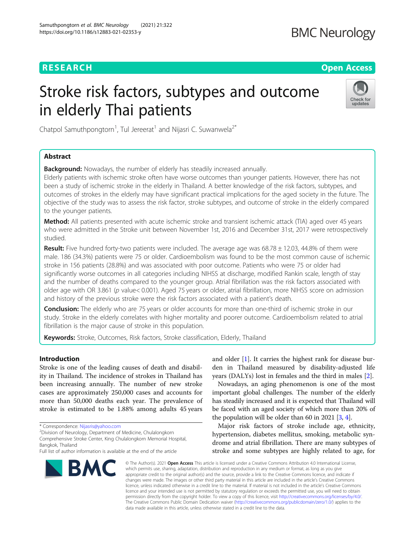# **RESEARCH CHEAR CHEAR CHEAR CHEAR CHEAR CHEAP CONTROL**

# Stroke risk factors, subtypes and outcome in elderly Thai patients



Chatpol Samuthpongtorn<sup>1</sup>, Tul Jereerat<sup>1</sup> and Nijasri C. Suwanwela<sup>2\*</sup>

# Abstract

**Background:** Nowadays, the number of elderly has steadily increased annually.

Elderly patients with ischemic stroke often have worse outcomes than younger patients. However, there has not been a study of ischemic stroke in the elderly in Thailand. A better knowledge of the risk factors, subtypes, and outcomes of strokes in the elderly may have significant practical implications for the aged society in the future. The objective of the study was to assess the risk factor, stroke subtypes, and outcome of stroke in the elderly compared to the younger patients.

Method: All patients presented with acute ischemic stroke and transient ischemic attack (TIA) aged over 45 years who were admitted in the Stroke unit between November 1st, 2016 and December 31st, 2017 were retrospectively studied.

Result: Five hundred forty-two patients were included. The average age was 68.78 ± 12.03, 44.8% of them were male. 186 (34.3%) patients were 75 or older. Cardioembolism was found to be the most common cause of ischemic stroke in 156 patients (28.8%) and was associated with poor outcome. Patients who were 75 or older had significantly worse outcomes in all categories including NIHSS at discharge, modified Rankin scale, length of stay and the number of deaths compared to the younger group. Atrial fibrillation was the risk factors associated with older age with OR 3.861 (p value< 0.001). Aged 75 years or older, atrial fibrillation, more NIHSS score on admission and history of the previous stroke were the risk factors associated with a patient's death.

**Conclusion:** The elderly who are 75 years or older accounts for more than one-third of ischemic stroke in our study. Stroke in the elderly correlates with higher mortality and poorer outcome. Cardioembolism related to atrial fibrillation is the major cause of stroke in this population.

Keywords: Stroke, Outcomes, Risk factors, Stroke classification, Elderly, Thailand

# Introduction

Stroke is one of the leading causes of death and disability in Thailand. The incidence of strokes in Thailand has been increasing annually. The number of new stroke cases are approximately 250,000 cases and accounts for more than 50,000 deaths each year. The prevalence of stroke is estimated to be 1.88% among adults 45 years

Division of Neurology, Department of Medicine, Chulalongkorn

Comprehensive Stroke Center, King Chulalongkorn Memorial Hospital, Bangkok, Thailand

Full list of author information is available at the end of the article



and older [\[1](#page-5-0)]. It carries the highest rank for disease burden in Thailand measured by disability-adjusted life years (DALYs) lost in females and the third in males [\[2](#page-5-0)].

Nowadays, an aging phenomenon is one of the most important global challenges. The number of the elderly has steadily increased and it is expected that Thailand will be faced with an aged society of which more than 20% of the population will be older than 60 in 2021 [\[3,](#page-5-0) [4](#page-5-0)].

Major risk factors of stroke include age, ethnicity, hypertension, diabetes mellitus, smoking, metabolic syndrome and atrial fibrillation. There are many subtypes of stroke and some subtypes are highly related to age, for

© The Author(s), 2021 **Open Access** This article is licensed under a Creative Commons Attribution 4.0 International License, which permits use, sharing, adaptation, distribution and reproduction in any medium or format, as long as you give appropriate credit to the original author(s) and the source, provide a link to the Creative Commons licence, and indicate if changes were made. The images or other third party material in this article are included in the article's Creative Commons licence, unless indicated otherwise in a credit line to the material. If material is not included in the article's Creative Commons licence and your intended use is not permitted by statutory regulation or exceeds the permitted use, you will need to obtain permission directly from the copyright holder. To view a copy of this licence, visit [http://creativecommons.org/licenses/by/4.0/.](http://creativecommons.org/licenses/by/4.0/) The Creative Commons Public Domain Dedication waiver [\(http://creativecommons.org/publicdomain/zero/1.0/](http://creativecommons.org/publicdomain/zero/1.0/)) applies to the data made available in this article, unless otherwise stated in a credit line to the data.

<sup>\*</sup> Correspondence: [Nijasris@yahoo.com](mailto:Nijasris@yahoo.com) <sup>2</sup>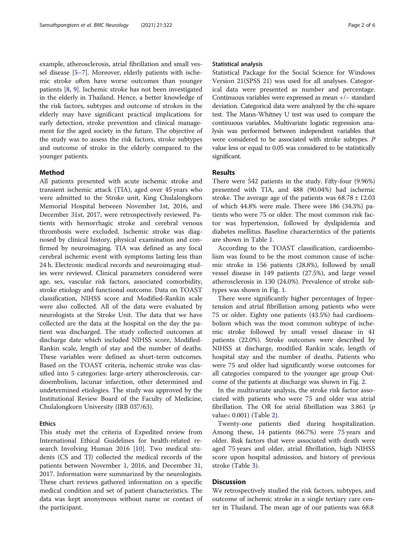example, atherosclerosis, atrial fibrillation and small vessel disease [[5](#page-5-0)–[7\]](#page-5-0). Moreover, elderly patients with ischemic stroke often have worse outcomes than younger patients [\[8](#page-5-0), [9](#page-5-0)]. Ischemic stroke has not been investigated in the elderly in Thailand. Hence, a better knowledge of the risk factors, subtypes and outcome of strokes in the elderly may have significant practical implications for early detection, stroke prevention and clinical management for the aged society in the future. The objective of the study was to assess the risk factors, stroke subtypes and outcome of stroke in the elderly compared to the younger patients.

# Method

All patients presented with acute ischemic stroke and transient ischemic attack (TIA), aged over 45 years who were admitted to the Stroke unit, King Chulalongkorn Memorial Hospital between November 1st, 2016, and December 31st, 2017, were retrospectively reviewed. Patients with hemorrhagic stroke and cerebral venous thrombosis were excluded. Ischemic stroke was diagnosed by clinical history, physical examination and confirmed by neuroimaging. TIA was defined as any focal cerebral ischemic event with symptoms lasting less than 24 h. Electronic medical records and neuroimaging studies were reviewed. Clinical parameters considered were age, sex, vascular risk factors, associated comorbidity, stroke etiology and functional outcome. Data on TOAST classification, NIHSS score and Modified-Rankin scale were also collected. All of the data were evaluated by neurologists at the Stroke Unit. The data that we have collected are the data at the hospital on the day the patient was discharged. The study collected outcomes at discharge date which included NIHSS score, Modified-Rankin scale, length of stay and the number of deaths. These variables were defined as short-term outcomes. Based on the TOAST criteria, ischemic stroke was classified into 5 categories: large-artery atherosclerosis, cardioembolism, lacunar infarction, other determined and undetermined etiologies. The study was approved by the Institutional Review Board of the Faculty of Medicine, Chulalongkorn University (IRB 037/63).

# **Ethics**

This study met the criteria of Expedited review from International Ethical Guidelines for health-related research Involving Human 2016  $[10]$  $[10]$ . Two medical students (CS and TJ) collected the medical records of the patients between November 1, 2016, and December 31, 2017. Information were summarized by the neurologists. These chart reviews gathered information on a specific medical condition and set of patient characteristics. The data was kept anonymous without name or contact of the participant.

# Statistical analysis

Statistical Package for the Social Science for Windows Version 21(SPSS 21) was used for all analyses. Categorical data were presented as number and percentage. Continuous variables were expressed as mean +/− standard deviation. Categorical data were analyzed by the chi-square test. The Mann-Whitney U test was used to compare the continuous variables. Multivariate logistic regression analysis was performed between independent variables that were considered to be associated with stroke subtypes. P value less or equal to 0.05 was considered to be statistically significant.

# Results

There were 542 patients in the study. Fifty-four (9.96%) presented with TIA, and 488 (90.04%) had ischemic stroke. The average age of the patients was  $68.78 \pm 12.03$ of which 44.8% were male. There were 186 (34.3%) patients who were 75 or older. The most common risk factor was hypertension, followed by dyslipidemia and diabetes mellitus. Baseline characteristics of the patients are shown in Table [1](#page-2-0).

According to the TOAST classification, cardioembolism was found to be the most common cause of ischemic stroke in 156 patients (28.8%), followed by small vessel disease in 149 patients (27.5%), and large vessel atherosclerosis in 130 (24.0%). Prevalence of stroke subtypes was shown in Fig. [1](#page-3-0).

There were significantly higher percentages of hypertension and atrial fibrillation among patients who were 75 or older. Eighty one patients (43.5%) had cardioembolism which was the most common subtype of ischemic stroke followed by small vessel disease in 41 patients (22.0%). Stroke outcomes were described by NIHSS at discharge, modified Rankin scale, length of hospital stay and the number of deaths. Patients who were 75 and older had significantly worse outcomes for all categories compared to the younger age group Outcome of the patients at discharge was shown in Fig. [2](#page-4-0).

In the multivariate analysis, the stroke risk factor associated with patients who were 75 and older was atrial fibrillation. The OR for atrial fibrillation was 3.861 ( $p$ value< 0.001) (Table [2](#page-4-0)).

Twenty-one patients died during hospitalization. Among these, 14 patients (66.7%) were 75 years and older. Risk factors that were associated with death were aged 75 years and older, atrial fibrillation, high NIHSS score upon hospital admission, and history of previous stroke (Table [3\)](#page-4-0).

# Discussion

We retrospectively studied the risk factors, subtypes, and outcome of ischemic stroke in a single tertiary care center in Thailand. The mean age of our patients was 68.8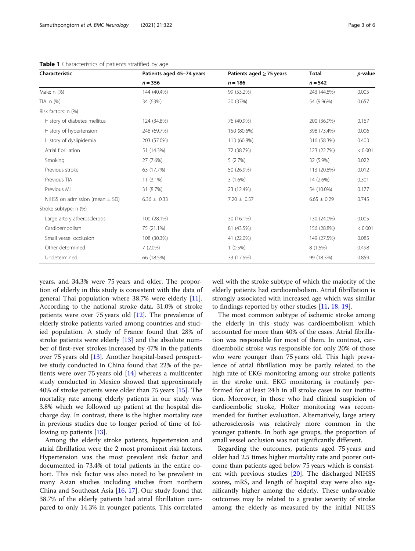| Characteristic                     | Patients aged 45-74 years | Patients aged $\geq$ 75 years | <b>Total</b>    | p-value |
|------------------------------------|---------------------------|-------------------------------|-----------------|---------|
|                                    | $n = 356$                 | $n = 186$                     | $n = 542$       |         |
| Male: n (%)                        | 144 (40.4%)               | 99 (53.2%)                    | 243 (44.8%)     | 0.005   |
| TIA: n (%)                         | 34 (63%)                  | 20 (37%)                      | 54 (9.96%)      | 0.657   |
| Risk factors: n (%)                |                           |                               |                 |         |
| History of diabetes mellitus       | 124 (34.8%)               | 76 (40.9%)                    | 200 (36.9%)     | 0.167   |
| History of hypertension            | 248 (69.7%)               | 150 (80.6%)                   | 398 (73.4%)     | 0.006   |
| History of dyslipidemia            | 203 (57.0%)               | 113 (60.8%)                   | 316 (58.3%)     | 0.403   |
| Atrial fibrillation                | 51 (14.3%)                | 72 (38.7%)                    | 123 (22.7%)     | < 0.001 |
| Smoking                            | 27 (7.6%)                 | 5(2.7%)                       | 32 (5.9%)       | 0.022   |
| Previous stroke                    | 63 (17.7%)                | 50 (26.9%)                    | 113 (20.8%)     | 0.012   |
| Previous TIA                       | $11(3.1\%)$               | 3(1.6%)                       | 14 (2.6%)       | 0.301   |
| Previous MI                        | 31 (8.7%)                 | 23 (12.4%)                    | 54 (10.0%)      | 0.177   |
| NIHSS on admission (mean $\pm$ SD) | $6.36 \pm 0.33$           | $7.20 \pm 0.57$               | $6.65 \pm 0.29$ | 0.745   |
| Stroke subtype: n (%)              |                           |                               |                 |         |
| Large artery atherosclerosis       | 100 (28.1%)               | 30 (16.1%)                    | 130 (24.0%)     | 0.005   |
| Cardioembolism                     | 75 (21.1%)                | 81 (43.5%)                    | 156 (28.8%)     | < 0.001 |
| Small vessel occlusion             | 108 (30.3%)               | 41 (22.0%)                    | 149 (27.5%)     | 0.085   |
| Other determined                   | $7(2.0\%)$                | $1(0.5\%)$                    | 8 (1.5%)        | 0.498   |
| Undetermined                       | 66 (18.5%)                | 33 (17.5%)                    | 99 (18.3%)      | 0.859   |

<span id="page-2-0"></span>Table 1 Characteristics of patients stratified by age

years, and 34.3% were 75 years and older. The proportion of elderly in this study is consistent with the data of general Thai population where 38.7% were elderly [\[11](#page-5-0)]. According to the national stroke data, 31.0% of stroke patients were over 75 years old  $[12]$  $[12]$ . The prevalence of elderly stroke patients varied among countries and studied population. A study of France found that 28% of stroke patients were elderly [\[13](#page-5-0)] and the absolute number of first-ever strokes increased by 47% in the patients over 75 years old [[13](#page-5-0)]. Another hospital-based prospective study conducted in China found that 22% of the patients were over 75 years old [\[14](#page-5-0)] whereas a multicenter study conducted in Mexico showed that approximately 40% of stroke patients were older than 75 years [\[15](#page-5-0)]. The mortality rate among elderly patients in our study was 3.8% which we followed up patient at the hospital discharge day. In contrast, there is the higher mortality rate in previous studies due to longer period of time of following up patients [[13](#page-5-0)].

Among the elderly stroke patients, hypertension and atrial fibrillation were the 2 most prominent risk factors. Hypertension was the most prevalent risk factor and documented in 73.4% of total patients in the entire cohort. This risk factor was also noted to be prevalent in many Asian studies including studies from northern China and Southeast Asia [\[16,](#page-5-0) [17](#page-5-0)]. Our study found that 38.7% of the elderly patients had atrial fibrillation compared to only 14.3% in younger patients. This correlated well with the stroke subtype of which the majority of the elderly patients had cardioembolism. Atrial fibrillation is strongly associated with increased age which was similar to findings reported by other studies [[11](#page-5-0), [18](#page-5-0), [19](#page-5-0)].

The most common subtype of ischemic stroke among the elderly in this study was cardioembolism which accounted for more than 40% of the cases. Atrial fibrillation was responsible for most of them. In contrast, cardioembolic stroke was responsible for only 20% of those who were younger than 75 years old. This high prevalence of atrial fibrillation may be partly related to the high rate of EKG monitoring among our stroke patients in the stroke unit. EKG monitoring is routinely performed for at least 24 h in all stroke cases in our institution. Moreover, in those who had clinical suspicion of cardioembolic stroke, Holter monitoring was recommended for further evaluation. Alternatively, large artery atherosclerosis was relatively more common in the younger patients. In both age groups, the proportion of small vessel occlusion was not significantly different.

Regarding the outcomes, patients aged 75 years and older had 2.5 times higher mortality rate and poorer outcome than patients aged below 75 years which is consistent with previous studies [[20\]](#page-5-0). The discharged NIHSS scores, mRS, and length of hospital stay were also significantly higher among the elderly. These unfavorable outcomes may be related to a greater severity of stroke among the elderly as measured by the initial NIHSS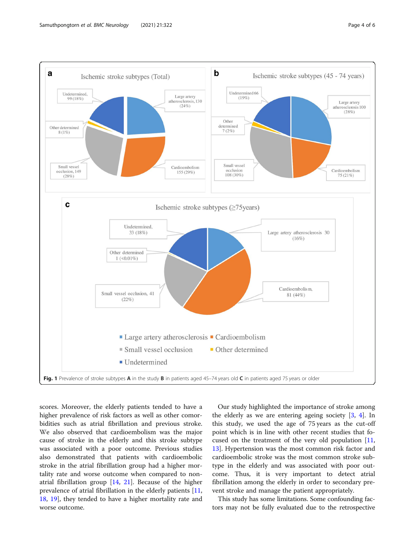<span id="page-3-0"></span>

scores. Moreover, the elderly patients tended to have a higher prevalence of risk factors as well as other comorbidities such as atrial fibrillation and previous stroke. We also observed that cardioembolism was the major cause of stroke in the elderly and this stroke subtype was associated with a poor outcome. Previous studies also demonstrated that patients with cardioembolic stroke in the atrial fibrillation group had a higher mortality rate and worse outcome when compared to nonatrial fibrillation group  $[14, 21]$  $[14, 21]$  $[14, 21]$  $[14, 21]$  $[14, 21]$ . Because of the higher prevalence of atrial fibrillation in the elderly patients [[11](#page-5-0), [18,](#page-5-0) [19](#page-5-0)], they tended to have a higher mortality rate and worse outcome.

Our study highlighted the importance of stroke among the elderly as we are entering ageing society  $[3, 4]$  $[3, 4]$  $[3, 4]$  $[3, 4]$  $[3, 4]$ . In this study, we used the age of 75 years as the cut-off point which is in line with other recent studies that focused on the treatment of the very old population  $[11, 12]$  $[11, 12]$  $[11, 12]$ [13\]](#page-5-0). Hypertension was the most common risk factor and cardioembolic stroke was the most common stroke subtype in the elderly and was associated with poor outcome. Thus, it is very important to detect atrial fibrillation among the elderly in order to secondary prevent stroke and manage the patient appropriately.

This study has some limitations. Some confounding factors may not be fully evaluated due to the retrospective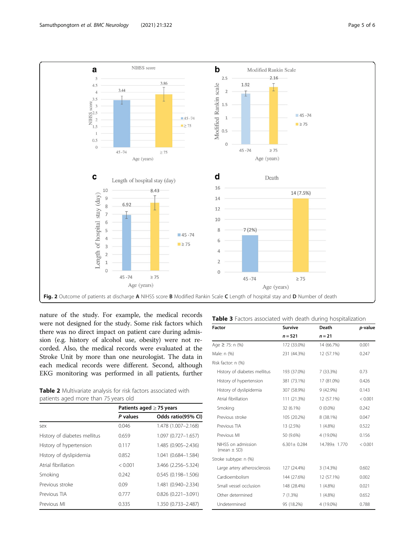<span id="page-4-0"></span>

nature of the study. For example, the medical records were not designed for the study. Some risk factors which there was no direct impact on patient care during admission (e.g. history of alcohol use, obesity) were not recorded. Also, the medical records were evaluated at the Stroke Unit by more than one neurologist. The data in each medical records were different. Second, although EKG monitoring was performed in all patients, further

|                                      |  |  |  | Table 2 Multivariate analysis for risk factors associated with |  |
|--------------------------------------|--|--|--|----------------------------------------------------------------|--|
| patients aged more than 75 years old |  |  |  |                                                                |  |

|                              | Patients aged $\geq$ 75 years |                        |  |
|------------------------------|-------------------------------|------------------------|--|
|                              | P values                      | Odds ratio(95% CI)     |  |
| sex                          | 0.046                         | 1.478 (1.007-2.168)    |  |
| History of diabetes mellitus | 0.659                         | 1.097 (0.727-1.657)    |  |
| History of hypertension      | 0.117                         | 1.485 (0.905-2.436)    |  |
| History of dyslipidemia      | 0.852                         | 1.041 (0.684-1.584)    |  |
| Atrial fibrillation          | < 0.001                       | 3.466 (2.256-5.324)    |  |
| Smoking                      | 0.242                         | $0.545(0.198 - 1.506)$ |  |
| Previous stroke              | 0.09                          | 1.481 (0.940-2.334)    |  |
| Previous TIA                 | 0.777                         | $0.826(0.221 - 3.091)$ |  |
| Previous MI                  | 0.335                         | 1.350 (0.733-2.487)    |  |

| <b>Factor</b>                         | <b>Survive</b>    | Death         | p-value |  |
|---------------------------------------|-------------------|---------------|---------|--|
|                                       | $n = 521$         | $n = 21$      |         |  |
| Age $\geq$ 75: n (%)                  | 172 (33.0%)       | 14 (66.7%)    | 0.001   |  |
| Male: n (%)                           | 231 (44.3%)       | 12 (57.1%)    | 0.247   |  |
| Risk factor: n (%)                    |                   |               |         |  |
| History of diabetes mellitus          | 193 (37.0%)       | 7 (33.3%)     | 0.73    |  |
| History of hypertension               | 381 (73.1%)       | 17 (81.0%)    | 0.426   |  |
| History of dyslipidemia               | 307 (58.9%)       | 9 (42.9%)     | 0.143   |  |
| Atrial fibrillation                   | 111 (21.3%)       | 12 (57.1%)    | < 0.001 |  |
| Smoking                               | 32 (6.1%)         | $0(0.0\%)$    | 0.242   |  |
| Previous stroke                       | 105 (20.2%)       | 8 (38.1%)     | 0.047   |  |
| Previous TIA                          | 13 (2.5%)         | $1(4.8\%)$    | 0.522   |  |
| Previous MI                           | 50 (9.6%)         | 4 (19.0%)     | 0.156   |  |
| NIHSS on admission<br>(mean $\pm$ SD) | $6.301 \pm 0.284$ | 14.789± 1.770 | < 0.001 |  |
| Stroke subtype: n (%)                 |                   |               |         |  |
| Large artery atherosclerosis          | 127 (24.4%)       | 3(14.3%)      | 0.602   |  |
| Cardioembolism                        | 144 (27.6%)       | 12 (57.1%)    | 0.002   |  |
| Small vessel occlusion                | 148 (28.4%)       | $1(4.8\%)$    | 0.021   |  |
| Other determined                      | 7(1.3%)           | $1(4.8\%)$    | 0.652   |  |
| Undetermined                          | 95 (18.2%)        | 4 (19.0%)     | 0.788   |  |

Table 3 Factors associated with death during hospitalization